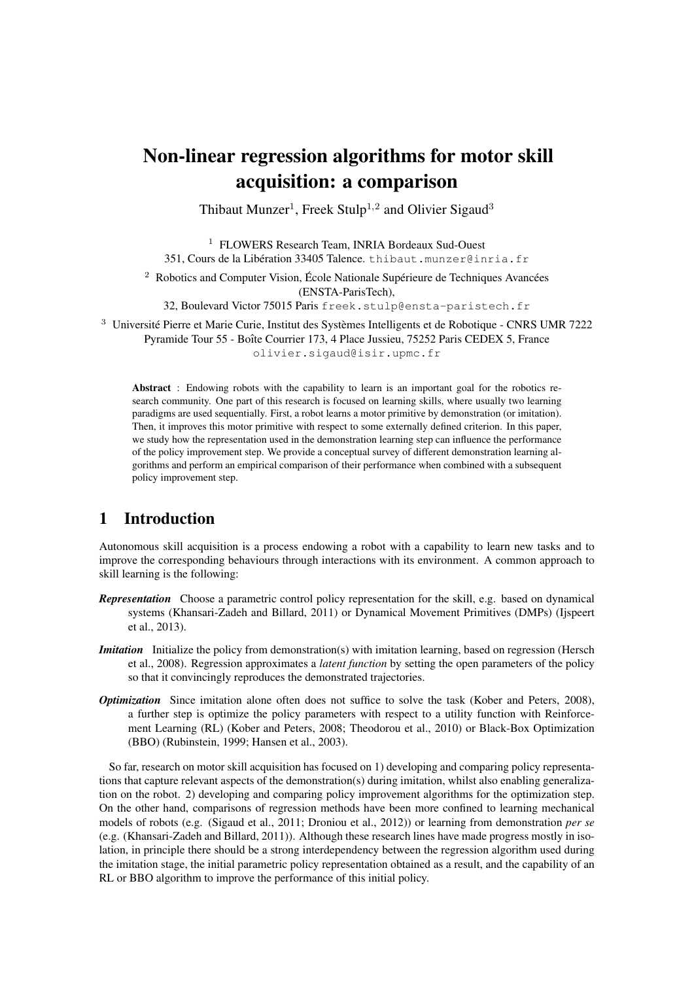# Non-linear regression algorithms for motor skill acquisition: a comparison

Thibaut Munzer<sup>1</sup>, Freek Stulp<sup>1,2</sup> and Olivier Sigaud<sup>3</sup>

<sup>1</sup> FLOWERS Research Team, INRIA Bordeaux Sud-Ouest 351, Cours de la Libération 33405 Talence. thibaut.munzer@inria.fr

 $2$  Robotics and Computer Vision, École Nationale Supérieure de Techniques Avancées

(ENSTA-ParisTech),

32, Boulevard Victor 75015 Paris freek.stulp@ensta-paristech.fr

<sup>3</sup> Université Pierre et Marie Curie, Institut des Systèmes Intelligents et de Robotique - CNRS UMR 7222 Pyramide Tour 55 - Boîte Courrier 173, 4 Place Jussieu, 75252 Paris CEDEX 5, France olivier.sigaud@isir.upmc.fr

Abstract : Endowing robots with the capability to learn is an important goal for the robotics research community. One part of this research is focused on learning skills, where usually two learning paradigms are used sequentially. First, a robot learns a motor primitive by demonstration (or imitation). Then, it improves this motor primitive with respect to some externally defined criterion. In this paper, we study how the representation used in the demonstration learning step can influence the performance of the policy improvement step. We provide a conceptual survey of different demonstration learning algorithms and perform an empirical comparison of their performance when combined with a subsequent policy improvement step.

## 1 Introduction

Autonomous skill acquisition is a process endowing a robot with a capability to learn new tasks and to improve the corresponding behaviours through interactions with its environment. A common approach to skill learning is the following:

- *Representation* Choose a parametric control policy representation for the skill, e.g. based on dynamical systems (Khansari-Zadeh and Billard, 2011) or Dynamical Movement Primitives (DMPs) (Ijspeert et al., 2013).
- *Imitation* Initialize the policy from demonstration(s) with imitation learning, based on regression (Hersch et al., 2008). Regression approximates a *latent function* by setting the open parameters of the policy so that it convincingly reproduces the demonstrated trajectories.
- *Optimization* Since imitation alone often does not suffice to solve the task (Kober and Peters, 2008), a further step is optimize the policy parameters with respect to a utility function with Reinforcement Learning (RL) (Kober and Peters, 2008; Theodorou et al., 2010) or Black-Box Optimization (BBO) (Rubinstein, 1999; Hansen et al., 2003).

So far, research on motor skill acquisition has focused on 1) developing and comparing policy representations that capture relevant aspects of the demonstration(s) during imitation, whilst also enabling generalization on the robot. 2) developing and comparing policy improvement algorithms for the optimization step. On the other hand, comparisons of regression methods have been more confined to learning mechanical models of robots (e.g. (Sigaud et al., 2011; Droniou et al., 2012)) or learning from demonstration *per se* (e.g. (Khansari-Zadeh and Billard, 2011)). Although these research lines have made progress mostly in isolation, in principle there should be a strong interdependency between the regression algorithm used during the imitation stage, the initial parametric policy representation obtained as a result, and the capability of an RL or BBO algorithm to improve the performance of this initial policy.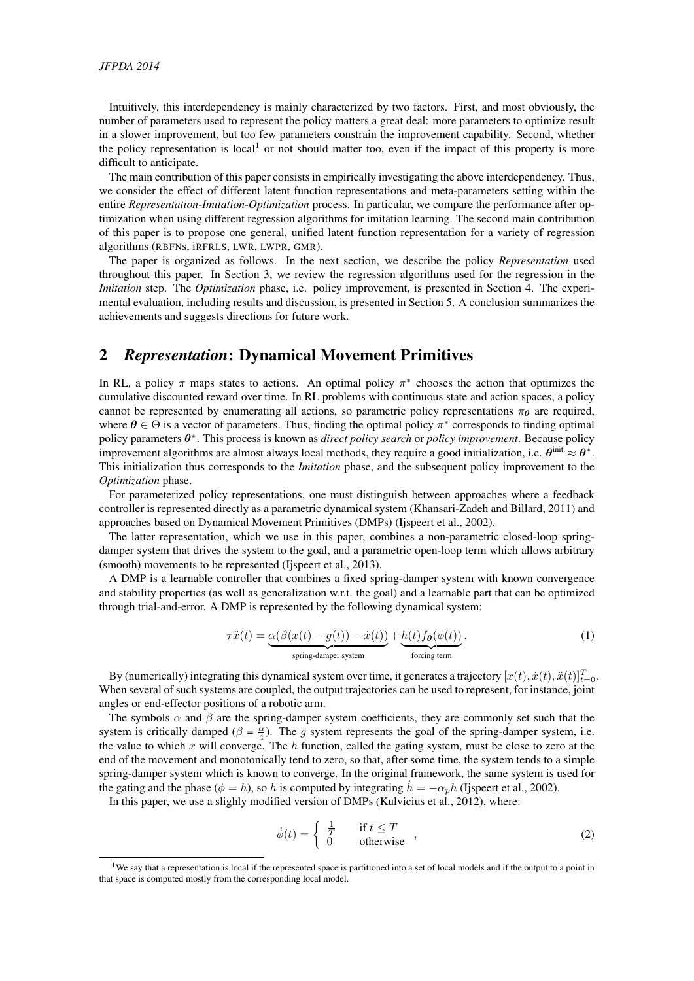Intuitively, this interdependency is mainly characterized by two factors. First, and most obviously, the number of parameters used to represent the policy matters a great deal: more parameters to optimize result in a slower improvement, but too few parameters constrain the improvement capability. Second, whether the policy representation is local<sup>1</sup> or not should matter too, even if the impact of this property is more difficult to anticipate.

The main contribution of this paper consists in empirically investigating the above interdependency. Thus, we consider the effect of different latent function representations and meta-parameters setting within the entire *Representation*-*Imitation*-*Optimization* process. In particular, we compare the performance after optimization when using different regression algorithms for imitation learning. The second main contribution of this paper is to propose one general, unified latent function representation for a variety of regression algorithms (RBFNs, iRFRLS, LWR, LWPR, GMR).

The paper is organized as follows. In the next section, we describe the policy *Representation* used throughout this paper. In Section 3, we review the regression algorithms used for the regression in the *Imitation* step. The *Optimization* phase, i.e. policy improvement, is presented in Section 4. The experimental evaluation, including results and discussion, is presented in Section 5. A conclusion summarizes the achievements and suggests directions for future work.

## 2 *Representation*: Dynamical Movement Primitives

In RL, a policy  $\pi$  maps states to actions. An optimal policy  $\pi^*$  chooses the action that optimizes the cumulative discounted reward over time. In RL problems with continuous state and action spaces, a policy cannot be represented by enumerating all actions, so parametric policy representations  $\pi_{\theta}$  are required, where  $\theta \in \Theta$  is a vector of parameters. Thus, finding the optimal policy  $\pi^*$  corresponds to finding optimal policy parameters θ ∗ . This process is known as *direct policy search* or *policy improvement*. Because policy improvement algorithms are almost always local methods, they require a good initialization, i.e.  $\theta^{\text{init}} \approx \theta^*$ . This initialization thus corresponds to the *Imitation* phase, and the subsequent policy improvement to the *Optimization* phase.

For parameterized policy representations, one must distinguish between approaches where a feedback controller is represented directly as a parametric dynamical system (Khansari-Zadeh and Billard, 2011) and approaches based on Dynamical Movement Primitives (DMPs) (Ijspeert et al., 2002).

The latter representation, which we use in this paper, combines a non-parametric closed-loop springdamper system that drives the system to the goal, and a parametric open-loop term which allows arbitrary (smooth) movements to be represented (Ijspeert et al., 2013).

A DMP is a learnable controller that combines a fixed spring-damper system with known convergence and stability properties (as well as generalization w.r.t. the goal) and a learnable part that can be optimized through trial-and-error. A DMP is represented by the following dynamical system:

$$
\tau \ddot{x}(t) = \underbrace{\alpha(\beta(x(t) - g(t)) - \dot{x}(t))}_{\text{spring-damper system}} + \underbrace{h(t) f_{\theta}(\phi(t))}_{\text{forcing term}}.
$$
\n(1)

By (numerically) integrating this dynamical system over time, it generates a trajectory  $[x(t), \dot{x}(t), \ddot{x}(t)]_{t=0}^T$ . When several of such systems are coupled, the output trajectories can be used to represent, for instance, joint angles or end-effector positions of a robotic arm.

The symbols  $\alpha$  and  $\beta$  are the spring-damper system coefficients, they are commonly set such that the system is critically damped ( $\beta = \frac{\alpha}{4}$ ). The g system represents the goal of the spring-damper system, i.e. the value to which x will converge. The h function, called the gating system, must be close to zero at the end of the movement and monotonically tend to zero, so that, after some time, the system tends to a simple spring-damper system which is known to converge. In the original framework, the same system is used for the gating and the phase ( $\phi = h$ ), so h is computed by integrating  $h = -\alpha_n h$  (Ispeert et al., 2002).

In this paper, we use a slighly modified version of DMPs (Kulvicius et al., 2012), where:

$$
\dot{\phi}(t) = \begin{cases} \frac{1}{T} & \text{if } t \le T \\ 0 & \text{otherwise} \end{cases},
$$
 (2)

<sup>&</sup>lt;sup>1</sup>We say that a representation is local if the represented space is partitioned into a set of local models and if the output to a point in that space is computed mostly from the corresponding local model.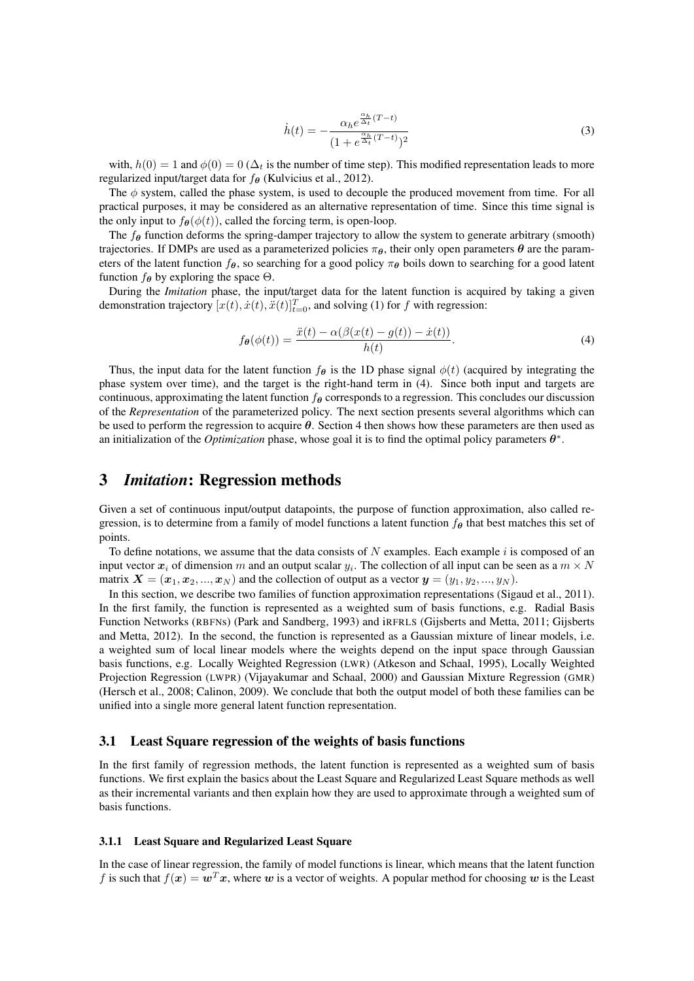$$
\dot{h}(t) = -\frac{\alpha_h e^{\frac{\alpha_h}{\Delta_t}(T-t)}}{(1 + e^{\frac{\alpha_h}{\Delta_t}(T-t)})^2}
$$
\n(3)

with,  $h(0) = 1$  and  $\phi(0) = 0$  ( $\Delta_t$  is the number of time step). This modified representation leads to more regularized input/target data for  $f_{\theta}$  (Kulvicius et al., 2012).

The  $\phi$  system, called the phase system, is used to decouple the produced movement from time. For all practical purposes, it may be considered as an alternative representation of time. Since this time signal is the only input to  $f_{\theta}(\phi(t))$ , called the forcing term, is open-loop.

The  $f_{\theta}$  function deforms the spring-damper trajectory to allow the system to generate arbitrary (smooth) trajectories. If DMPs are used as a parameterized policies  $\pi_{\theta}$ , their only open parameters  $\theta$  are the parameters of the latent function  $f_{\theta}$ , so searching for a good policy  $\pi_{\theta}$  boils down to searching for a good latent function  $f_{\theta}$  by exploring the space  $\Theta$ .

During the *Imitation* phase, the input/target data for the latent function is acquired by taking a given demonstration trajectory  $[x(t), \dot{x}(t), \ddot{x}(t)]_{t=0}^T$ , and solving (1) for f with regression:

$$
f_{\theta}(\phi(t)) = \frac{\ddot{x}(t) - \alpha(\beta(x(t) - g(t)) - \dot{x}(t))}{h(t)}.
$$
\n(4)

Thus, the input data for the latent function  $f_{\theta}$  is the 1D phase signal  $\phi(t)$  (acquired by integrating the phase system over time), and the target is the right-hand term in (4). Since both input and targets are continuous, approximating the latent function  $f_{\theta}$  corresponds to a regression. This concludes our discussion of the *Representation* of the parameterized policy. The next section presents several algorithms which can be used to perform the regression to acquire  $\theta$ . Section 4 then shows how these parameters are then used as an initialization of the *Optimization* phase, whose goal it is to find the optimal policy parameters  $\theta^*$ .

### 3 *Imitation*: Regression methods

Given a set of continuous input/output datapoints, the purpose of function approximation, also called regression, is to determine from a family of model functions a latent function  $f_{\theta}$  that best matches this set of points.

To define notations, we assume that the data consists of N examples. Each example  $i$  is composed of an input vector  $x_i$  of dimension m and an output scalar  $y_i$ . The collection of all input can be seen as a  $m \times N$ matrix  $\mathbf{X} = (\mathbf{x}_1, \mathbf{x}_2, ..., \mathbf{x}_N)$  and the collection of output as a vector  $\mathbf{y} = (y_1, y_2, ..., y_N)$ .

In this section, we describe two families of function approximation representations (Sigaud et al., 2011). In the first family, the function is represented as a weighted sum of basis functions, e.g. Radial Basis Function Networks (RBFNs) (Park and Sandberg, 1993) and iRFRLS (Gijsberts and Metta, 2011; Gijsberts and Metta, 2012). In the second, the function is represented as a Gaussian mixture of linear models, i.e. a weighted sum of local linear models where the weights depend on the input space through Gaussian basis functions, e.g. Locally Weighted Regression (LWR) (Atkeson and Schaal, 1995), Locally Weighted Projection Regression (LWPR) (Vijayakumar and Schaal, 2000) and Gaussian Mixture Regression (GMR) (Hersch et al., 2008; Calinon, 2009). We conclude that both the output model of both these families can be unified into a single more general latent function representation.

#### 3.1 Least Square regression of the weights of basis functions

In the first family of regression methods, the latent function is represented as a weighted sum of basis functions. We first explain the basics about the Least Square and Regularized Least Square methods as well as their incremental variants and then explain how they are used to approximate through a weighted sum of basis functions.

#### 3.1.1 Least Square and Regularized Least Square

In the case of linear regression, the family of model functions is linear, which means that the latent function f is such that  $f(x) = w^T x$ , where w is a vector of weights. A popular method for choosing w is the Least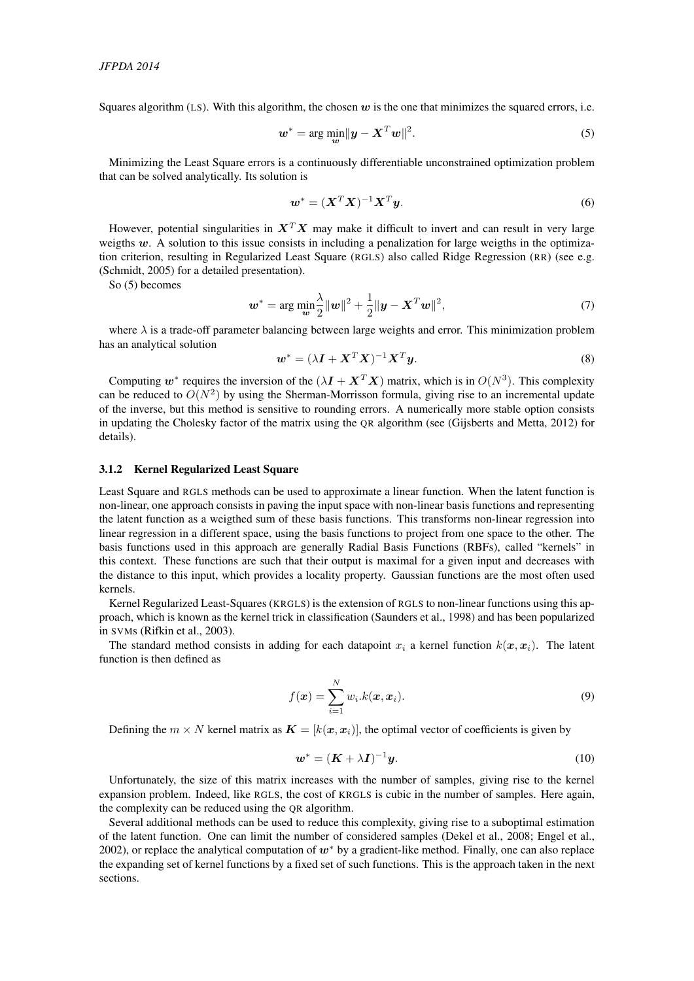Squares algorithm (LS). With this algorithm, the chosen  $w$  is the one that minimizes the squared errors, i.e.

$$
\boldsymbol{w}^* = \arg\min_{\boldsymbol{w}} \|\boldsymbol{y} - \boldsymbol{X}^T \boldsymbol{w}\|^2. \tag{5}
$$

Minimizing the Least Square errors is a continuously differentiable unconstrained optimization problem that can be solved analytically. Its solution is

$$
\boldsymbol{w}^* = (\boldsymbol{X}^T \boldsymbol{X})^{-1} \boldsymbol{X}^T \boldsymbol{y}.
$$
 (6)

However, potential singularities in  $X<sup>T</sup>X$  may make it difficult to invert and can result in very large weigths  $w$ . A solution to this issue consists in including a penalization for large weigths in the optimization criterion, resulting in Regularized Least Square (RGLS) also called Ridge Regression (RR) (see e.g. (Schmidt, 2005) for a detailed presentation).

So (5) becomes

$$
\boldsymbol{w}^* = \arg \min_{\boldsymbol{w}} \frac{\lambda}{2} ||\boldsymbol{w}||^2 + \frac{1}{2} ||\boldsymbol{y} - \boldsymbol{X}^T \boldsymbol{w}||^2, \tag{7}
$$

where  $\lambda$  is a trade-off parameter balancing between large weights and error. This minimization problem has an analytical solution

$$
\boldsymbol{w}^* = (\lambda \boldsymbol{I} + \boldsymbol{X}^T \boldsymbol{X})^{-1} \boldsymbol{X}^T \boldsymbol{y}.
$$
 (8)

Computing  $w^*$  requires the inversion of the  $(\lambda \mathbf{I} + \mathbf{X}^T \mathbf{X})$  matrix, which is in  $O(N^3)$ . This complexity can be reduced to  $O(N^2)$  by using the Sherman-Morrisson formula, giving rise to an incremental update of the inverse, but this method is sensitive to rounding errors. A numerically more stable option consists in updating the Cholesky factor of the matrix using the QR algorithm (see (Gijsberts and Metta, 2012) for details).

#### 3.1.2 Kernel Regularized Least Square

Least Square and RGLS methods can be used to approximate a linear function. When the latent function is non-linear, one approach consists in paving the input space with non-linear basis functions and representing the latent function as a weigthed sum of these basis functions. This transforms non-linear regression into linear regression in a different space, using the basis functions to project from one space to the other. The basis functions used in this approach are generally Radial Basis Functions (RBFs), called "kernels" in this context. These functions are such that their output is maximal for a given input and decreases with the distance to this input, which provides a locality property. Gaussian functions are the most often used kernels.

Kernel Regularized Least-Squares (KRGLS) is the extension of RGLS to non-linear functions using this approach, which is known as the kernel trick in classification (Saunders et al., 1998) and has been popularized in SVMs (Rifkin et al., 2003).

The standard method consists in adding for each datapoint  $x_i$  a kernel function  $k(x, x_i)$ . The latent function is then defined as

$$
f(\boldsymbol{x}) = \sum_{i=1}^{N} w_i \cdot k(\boldsymbol{x}, \boldsymbol{x}_i).
$$
 (9)

Defining the  $m \times N$  kernel matrix as  $\mathbf{K} = [k(\mathbf{x}, \mathbf{x}_i)]$ , the optimal vector of coefficients is given by

$$
\boldsymbol{w}^* = (\boldsymbol{K} + \lambda \boldsymbol{I})^{-1} \boldsymbol{y}.\tag{10}
$$

Unfortunately, the size of this matrix increases with the number of samples, giving rise to the kernel expansion problem. Indeed, like RGLS, the cost of KRGLS is cubic in the number of samples. Here again, the complexity can be reduced using the QR algorithm.

Several additional methods can be used to reduce this complexity, giving rise to a suboptimal estimation of the latent function. One can limit the number of considered samples (Dekel et al., 2008; Engel et al., 2002), or replace the analytical computation of  $w^*$  by a gradient-like method. Finally, one can also replace the expanding set of kernel functions by a fixed set of such functions. This is the approach taken in the next sections.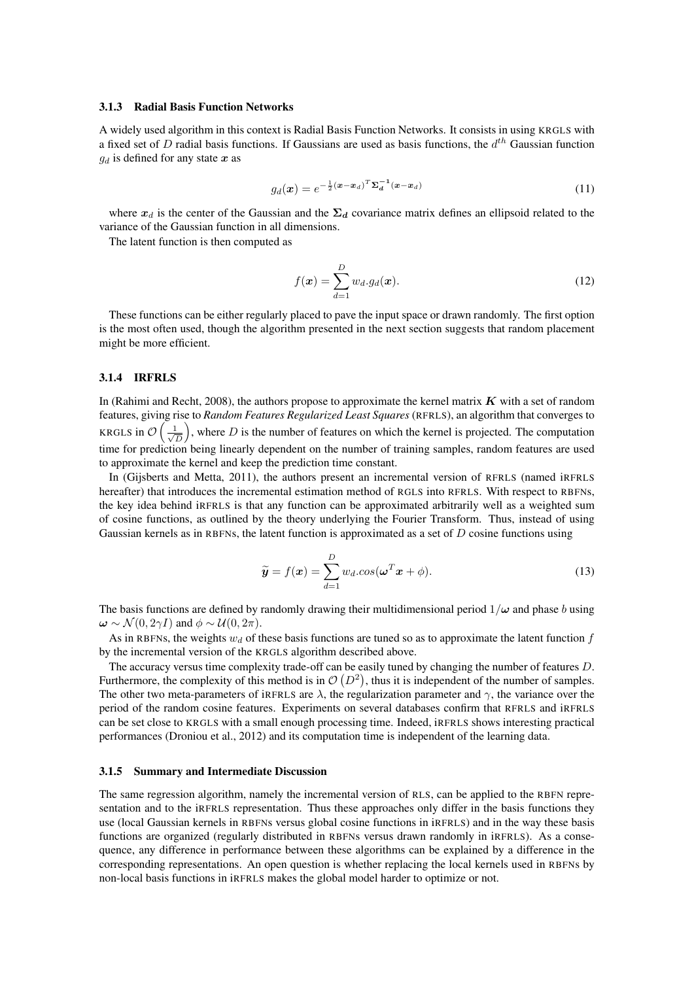#### 3.1.3 Radial Basis Function Networks

A widely used algorithm in this context is Radial Basis Function Networks. It consists in using KRGLS with a fixed set of D radial basis functions. If Gaussians are used as basis functions, the  $d^{th}$  Gaussian function  $g_d$  is defined for any state  $x$  as

$$
g_d(\boldsymbol{x}) = e^{-\frac{1}{2}(\boldsymbol{x} - \boldsymbol{x}_d)^T \boldsymbol{\Sigma}_d^{-1}(\boldsymbol{x} - \boldsymbol{x}_d)}
$$
(11)

where  $x_d$  is the center of the Gaussian and the  $\Sigma_d$  covariance matrix defines an ellipsoid related to the variance of the Gaussian function in all dimensions.

The latent function is then computed as

$$
f(\boldsymbol{x}) = \sum_{d=1}^{D} w_d \cdot g_d(\boldsymbol{x}).
$$
\n(12)

These functions can be either regularly placed to pave the input space or drawn randomly. The first option is the most often used, though the algorithm presented in the next section suggests that random placement might be more efficient.

#### 3.1.4 IRFRLS

In (Rahimi and Recht, 2008), the authors propose to approximate the kernel matrix  $K$  with a set of random features, giving rise to *Random Features Regularized Least Squares* (RFRLS), an algorithm that converges to KRGLS in  $\mathcal{O}\left(\frac{1}{\sqrt{2}}\right)$  $\frac{1}{\overline{D}}$ , where D is the number of features on which the kernel is projected. The computation time for prediction being linearly dependent on the number of training samples, random features are used to approximate the kernel and keep the prediction time constant.

In (Gijsberts and Metta, 2011), the authors present an incremental version of RFRLS (named iRFRLS hereafter) that introduces the incremental estimation method of RGLS into RFRLS. With respect to RBFNs, the key idea behind iRFRLS is that any function can be approximated arbitrarily well as a weighted sum of cosine functions, as outlined by the theory underlying the Fourier Transform. Thus, instead of using Gaussian kernels as in RBFNs, the latent function is approximated as a set of  $D$  cosine functions using

$$
\widetilde{\mathbf{y}} = f(\mathbf{x}) = \sum_{d=1}^{D} w_d \cdot \cos(\boldsymbol{\omega}^T \mathbf{x} + \phi). \tag{13}
$$

The basis functions are defined by randomly drawing their multidimensional period  $1/\omega$  and phase b using  $\omega \sim \mathcal{N}(0, 2\gamma I)$  and  $\phi \sim \mathcal{U}(0, 2\pi)$ .

As in RBFNs, the weights  $w_d$  of these basis functions are tuned so as to approximate the latent function f by the incremental version of the KRGLS algorithm described above.

The accuracy versus time complexity trade-off can be easily tuned by changing the number of features D. Furthermore, the complexity of this method is in  $\mathcal{O}(D^2)$ , thus it is independent of the number of samples. The other two meta-parameters of iRFRLS are  $\lambda$ , the regularization parameter and  $\gamma$ , the variance over the period of the random cosine features. Experiments on several databases confirm that RFRLS and iRFRLS can be set close to KRGLS with a small enough processing time. Indeed, iRFRLS shows interesting practical performances (Droniou et al., 2012) and its computation time is independent of the learning data.

#### 3.1.5 Summary and Intermediate Discussion

The same regression algorithm, namely the incremental version of RLS, can be applied to the RBFN representation and to the iRFRLS representation. Thus these approaches only differ in the basis functions they use (local Gaussian kernels in RBFNs versus global cosine functions in iRFRLS) and in the way these basis functions are organized (regularly distributed in RBFNs versus drawn randomly in iRFRLS). As a consequence, any difference in performance between these algorithms can be explained by a difference in the corresponding representations. An open question is whether replacing the local kernels used in RBFNs by non-local basis functions in iRFRLS makes the global model harder to optimize or not.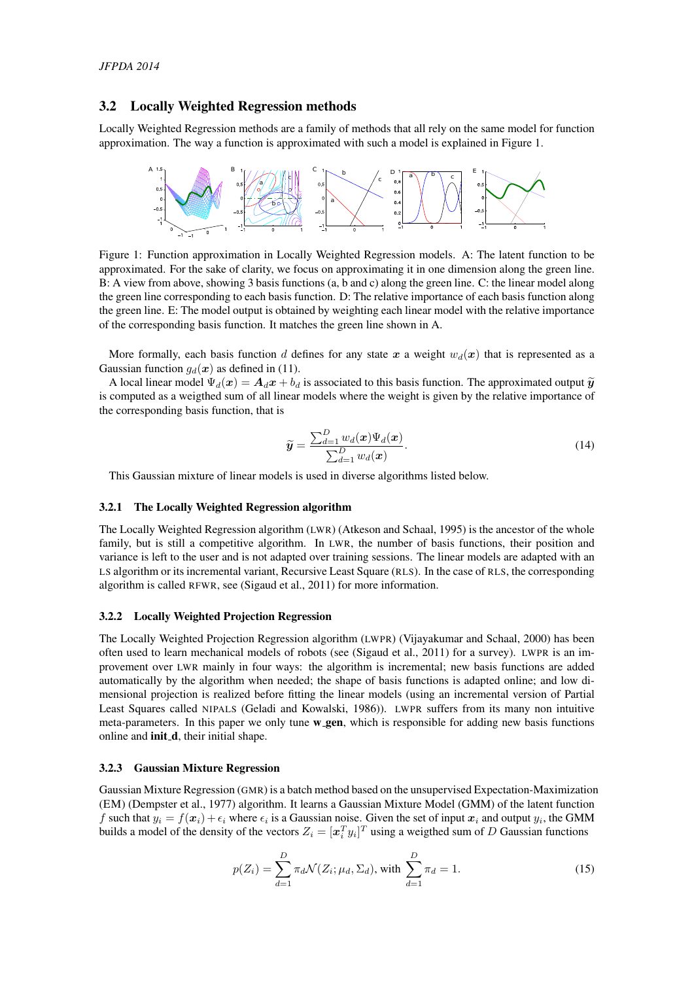#### 3.2 Locally Weighted Regression methods

Locally Weighted Regression methods are a family of methods that all rely on the same model for function approximation. The way a function is approximated with such a model is explained in Figure 1.



Figure 1: Function approximation in Locally Weighted Regression models. A: The latent function to be approximated. For the sake of clarity, we focus on approximating it in one dimension along the green line. B: A view from above, showing 3 basis functions (a, b and c) along the green line. C: the linear model along the green line corresponding to each basis function. D: The relative importance of each basis function along the green line. E: The model output is obtained by weighting each linear model with the relative importance of the corresponding basis function. It matches the green line shown in A.

More formally, each basis function d defines for any state x a weight  $w_d(x)$  that is represented as a Gaussian function  $q_d(x)$  as defined in (11).

A local linear model  $\Psi_d(\mathbf{x}) = \mathbf{A}_d \mathbf{x} + b_d$  is associated to this basis function. The approximated output  $\widetilde{\mathbf{y}}$ is computed as a weigthed sum of all linear models where the weight is given by the relative importance of the corresponding basis function, that is

$$
\widetilde{\mathbf{y}} = \frac{\sum_{d=1}^{D} w_d(\mathbf{x}) \Psi_d(\mathbf{x})}{\sum_{d=1}^{D} w_d(\mathbf{x})}.
$$
\n(14)

This Gaussian mixture of linear models is used in diverse algorithms listed below.

#### 3.2.1 The Locally Weighted Regression algorithm

The Locally Weighted Regression algorithm (LWR) (Atkeson and Schaal, 1995) is the ancestor of the whole family, but is still a competitive algorithm. In LWR, the number of basis functions, their position and variance is left to the user and is not adapted over training sessions. The linear models are adapted with an LS algorithm or its incremental variant, Recursive Least Square (RLS). In the case of RLS, the corresponding algorithm is called RFWR, see (Sigaud et al., 2011) for more information.

#### 3.2.2 Locally Weighted Projection Regression

The Locally Weighted Projection Regression algorithm (LWPR) (Vijayakumar and Schaal, 2000) has been often used to learn mechanical models of robots (see (Sigaud et al., 2011) for a survey). LWPR is an improvement over LWR mainly in four ways: the algorithm is incremental; new basis functions are added automatically by the algorithm when needed; the shape of basis functions is adapted online; and low dimensional projection is realized before fitting the linear models (using an incremental version of Partial Least Squares called NIPALS (Geladi and Kowalski, 1986)). LWPR suffers from its many non intuitive meta-parameters. In this paper we only tune  $w_0$ -gen, which is responsible for adding new basis functions online and **init\_d**, their initial shape.

#### 3.2.3 Gaussian Mixture Regression

Gaussian Mixture Regression (GMR) is a batch method based on the unsupervised Expectation-Maximization (EM) (Dempster et al., 1977) algorithm. It learns a Gaussian Mixture Model (GMM) of the latent function f such that  $y_i = f(x_i) + \epsilon_i$  where  $\epsilon_i$  is a Gaussian noise. Given the set of input  $x_i$  and output  $y_i$ , the GMM builds a model of the density of the vectors  $Z_i = [\mathbf{x}_i^T y_i]^T$  using a weigthed sum of D Gaussian functions

$$
p(Z_i) = \sum_{d=1}^{D} \pi_d \mathcal{N}(Z_i; \mu_d, \Sigma_d), \text{ with } \sum_{d=1}^{D} \pi_d = 1.
$$
 (15)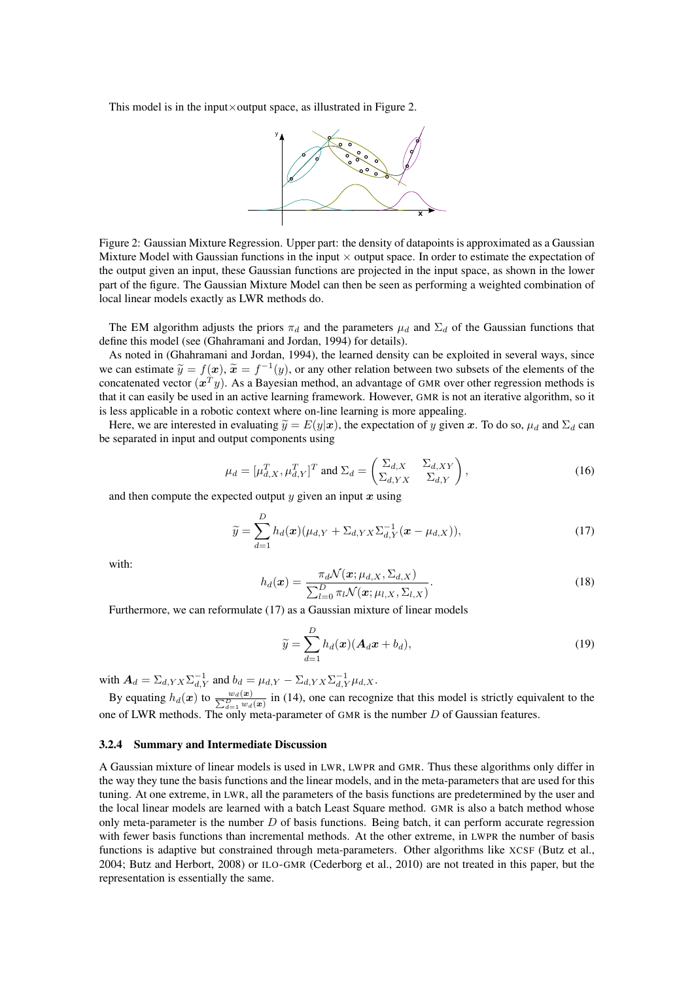This model is in the input $\times$ output space, as illustrated in Figure 2.



Figure 2: Gaussian Mixture Regression. Upper part: the density of datapoints is approximated as a Gaussian Mixture Model with Gaussian functions in the input  $\times$  output space. In order to estimate the expectation of the output given an input, these Gaussian functions are projected in the input space, as shown in the lower part of the figure. The Gaussian Mixture Model can then be seen as performing a weighted combination of local linear models exactly as LWR methods do.

The EM algorithm adjusts the priors  $\pi_d$  and the parameters  $\mu_d$  and  $\Sigma_d$  of the Gaussian functions that define this model (see (Ghahramani and Jordan, 1994) for details).

As noted in (Ghahramani and Jordan, 1994), the learned density can be exploited in several ways, since we can estimate  $\tilde{y} = f(x)$ ,  $\tilde{x} = f^{-1}(y)$ , or any other relation between two subsets of the elements of the concitenated vector  $(x^T x)$ . As a Bayesian mathod, an educator of CMP over other recression mathods is concatenated vector  $(x^T y)$ . As a Bayesian method, an advantage of GMR over other regression methods is that it can easily be used in an active learning framework. However, GMR is not an iterative algorithm, so it is less applicable in a robotic context where on-line learning is more appealing.

Here, we are interested in evaluating  $\tilde{y} = E(y|x)$ , the expectation of y given x. To do so,  $\mu_d$  and  $\Sigma_d$  can be separated in input and output components using

$$
\mu_d = [\mu_{d,X}^T, \mu_{d,Y}^T]^T \text{ and } \Sigma_d = \begin{pmatrix} \Sigma_{d,X} & \Sigma_{d,XY} \\ \Sigma_{d,YX} & \Sigma_{d,Y} \end{pmatrix},\tag{16}
$$

and then compute the expected output  $y$  given an input  $x$  using

$$
\widetilde{y} = \sum_{d=1}^{D} h_d(\boldsymbol{x}) (\mu_{d,Y} + \Sigma_{d,YX} \Sigma_{d,Y}^{-1} (\boldsymbol{x} - \mu_{d,X})), \qquad (17)
$$

with:

$$
h_d(\boldsymbol{x}) = \frac{\pi_d \mathcal{N}(\boldsymbol{x}; \mu_{d,X}, \Sigma_{d,X})}{\sum_{l=0}^D \pi_l \mathcal{N}(\boldsymbol{x}; \mu_{l,X}, \Sigma_{l,X})}.
$$
(18)

Furthermore, we can reformulate (17) as a Gaussian mixture of linear models

$$
\widetilde{y} = \sum_{d=1}^{D} h_d(\boldsymbol{x}) (\boldsymbol{A}_d \boldsymbol{x} + b_d), \qquad (19)
$$

with  $\mathbf{A}_d = \sum_{d, YX} \sum_{d, Y}^{-1}$  and  $b_d = \mu_{d, Y} - \sum_{d, YX} \sum_{d, Y}^{-1} \mu_{d, X}$ .

By equating  $h_d(x)$  to  $\frac{w_d(x)}{\sum_{d=1}^D w_d(x)}$  in (14), one can recognize that this model is strictly equivalent to the one of LWR methods. The only meta-parameter of GMR is the number  $D$  of Gaussian features.

#### 3.2.4 Summary and Intermediate Discussion

A Gaussian mixture of linear models is used in LWR, LWPR and GMR. Thus these algorithms only differ in the way they tune the basis functions and the linear models, and in the meta-parameters that are used for this tuning. At one extreme, in LWR, all the parameters of the basis functions are predetermined by the user and the local linear models are learned with a batch Least Square method. GMR is also a batch method whose only meta-parameter is the number  $D$  of basis functions. Being batch, it can perform accurate regression with fewer basis functions than incremental methods. At the other extreme, in LWPR the number of basis functions is adaptive but constrained through meta-parameters. Other algorithms like XCSF (Butz et al., 2004; Butz and Herbort, 2008) or ILO-GMR (Cederborg et al., 2010) are not treated in this paper, but the representation is essentially the same.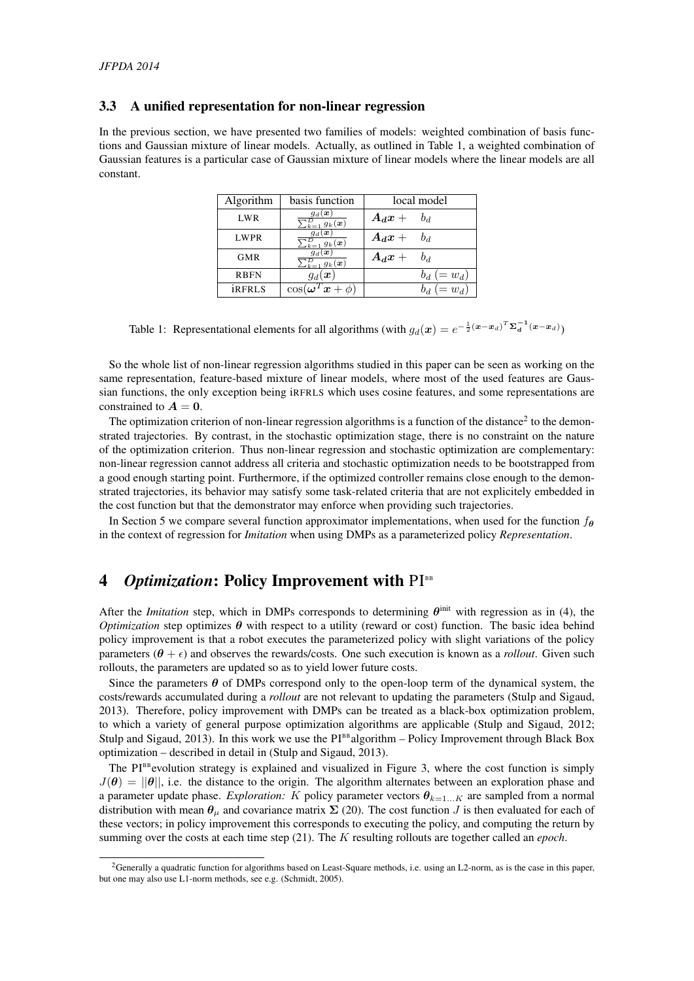#### 3.3 A unified representation for non-linear regression

In the previous section, we have presented two families of models: weighted combination of basis functions and Gaussian mixture of linear models. Actually, as outlined in Table 1, a weighted combination of Gaussian features is a particular case of Gaussian mixture of linear models where the linear models are all constant.

| Algorithm     | basis function                                        | local model   |  |  |
|---------------|-------------------------------------------------------|---------------|--|--|
| LWR           | $g_d(\bm{x})$<br>$\bar{\Sigma}_{k=1}^D$ $g_k(\bm{x})$ | $A_d x + b_d$ |  |  |
| <b>LWPR</b>   | $g_d(\boldsymbol{x})$<br>$\sum_{k=1}^{D} g_k(x)$      | $A_d x + b_d$ |  |  |
| <b>GMR</b>    | $g_d(\bm{x})$<br>$\sqrt{\frac{D}{k-1}} g_k(\bm{x})$   | $A_d x + b_d$ |  |  |
| <b>RBFN</b>   | $g_d(\boldsymbol{x})$                                 | $=w_d$ )      |  |  |
| <b>iRFRLS</b> | $x + \phi$<br>$\cos(\boldsymbol{\omega}^T)$           | $=w_d$ )      |  |  |

Table 1: Representational elements for all algorithms (with  $g_d(\mathbf{x}) = e^{-\frac{1}{2}(\mathbf{x}-\mathbf{x}_d)^T \Sigma_d^{-1} (\mathbf{x}-\mathbf{x}_d)}$ )

So the whole list of non-linear regression algorithms studied in this paper can be seen as working on the same representation, feature-based mixture of linear models, where most of the used features are Gaussian functions, the only exception being iRFRLS which uses cosine features, and some representations are constrained to  $A = 0$ .

The optimization criterion of non-linear regression algorithms is a function of the distance<sup>2</sup> to the demonstrated trajectories. By contrast, in the stochastic optimization stage, there is no constraint on the nature of the optimization criterion. Thus non-linear regression and stochastic optimization are complementary: non-linear regression cannot address all criteria and stochastic optimization needs to be bootstrapped from a good enough starting point. Furthermore, if the optimized controller remains close enough to the demonstrated trajectories, its behavior may satisfy some task-related criteria that are not explicitely embedded in the cost function but that the demonstrator may enforce when providing such trajectories.

In Section 5 we compare several function approximator implementations, when used for the function  $f_{\theta}$ in the context of regression for *Imitation* when using DMPs as a parameterized policy *Representation*.

## 4 *Optimization*: Policy Improvement with PI<sup>BB</sup>

After the *Imitation* step, which in DMPs corresponds to determining  $\theta^{\text{init}}$  with regression as in (4), the *Optimization* step optimizes  $\theta$  with respect to a utility (reward or cost) function. The basic idea behind policy improvement is that a robot executes the parameterized policy with slight variations of the policy parameters  $(\theta + \epsilon)$  and observes the rewards/costs. One such execution is known as a *rollout*. Given such rollouts, the parameters are updated so as to yield lower future costs.

Since the parameters  $\theta$  of DMPs correspond only to the open-loop term of the dynamical system, the costs/rewards accumulated during a *rollout* are not relevant to updating the parameters (Stulp and Sigaud, 2013). Therefore, policy improvement with DMPs can be treated as a black-box optimization problem, to which a variety of general purpose optimization algorithms are applicable (Stulp and Sigaud, 2012; Stulp and Sigaud, 2013). In this work we use the  $PI<sup>BB</sup> algorithm – Policy Improvement through Black Box$ optimization – described in detail in (Stulp and Sigaud, 2013).

The PI<sup>BB</sup> evolution strategy is explained and visualized in Figure 3, where the cost function is simply  $J(\theta) = ||\theta||$ , i.e. the distance to the origin. The algorithm alternates between an exploration phase and a parameter update phase. *Exploration:* K policy parameter vectors  $\theta_{k=1...K}$  are sampled from a normal distribution with mean  $\theta_u$  and covariance matrix  $\Sigma$  (20). The cost function J is then evaluated for each of these vectors; in policy improvement this corresponds to executing the policy, and computing the return by summing over the costs at each time step (21). The K resulting rollouts are together called an *epoch*.

<sup>&</sup>lt;sup>2</sup>Generally a quadratic function for algorithms based on Least-Square methods, i.e. using an L2-norm, as is the case in this paper, but one may also use L1-norm methods, see e.g. (Schmidt, 2005).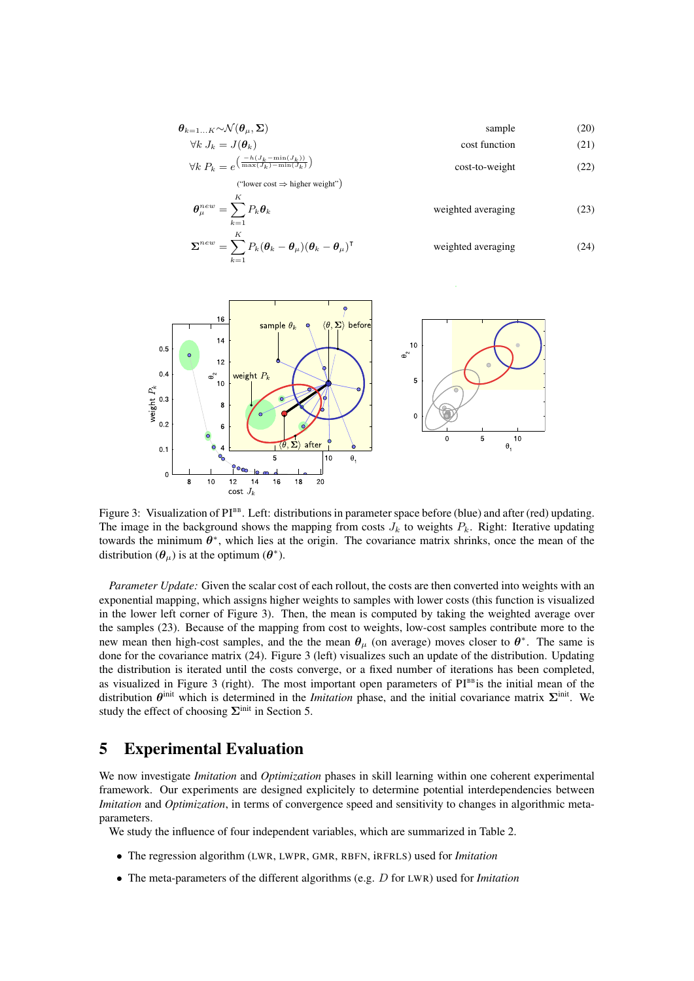$$
\theta_{k=1...K} \sim \mathcal{N}(\theta_{\mu}, \Sigma) \qquad \text{sample} \qquad (20)
$$
\n
$$
\forall k \ J_k = J(\theta_k) \qquad \text{cost function} \qquad (21)
$$
\n
$$
\forall k \ P_k = e^{\left(\frac{-h(J_k - \min(J_k))}{\max(J_k) - \min(J_k)}\right)} \qquad \text{cost-to-weight} \qquad (22)
$$

("lower cost  $\Rightarrow$  higher weight")

 $\sum_{k=1}$ 

$$
\theta_{\mu}^{new} = \sum_{k=1}^{K} P_k \theta_k \qquad \text{weighted averaging} \qquad (23)
$$
  

$$
\Sigma^{new} = \sum_{k=1}^{K} P_k (\theta_k - \theta_{\mu}) (\theta_k - \theta_{\mu})^{\mathsf{T}} \qquad \text{weighted averaging} \qquad (24)
$$



Figure 3: Visualization of PI<sup>BB</sup>. Left: distributions in parameter space before (blue) and after (red) updating. The image in the background shows the mapping from costs  $J_k$  to weights  $P_k$ . Right: Iterative updating towards the minimum  $\theta^*$ , which lies at the origin. The covariance matrix shrinks, once the mean of the distribution  $(\theta_\mu)$  is at the optimum  $(\theta^*)$ .

*Parameter Update:* Given the scalar cost of each rollout, the costs are then converted into weights with an exponential mapping, which assigns higher weights to samples with lower costs (this function is visualized in the lower left corner of Figure 3). Then, the mean is computed by taking the weighted average over the samples (23). Because of the mapping from cost to weights, low-cost samples contribute more to the new mean then high-cost samples, and the the mean  $\theta_{\mu}$  (on average) moves closer to  $\theta^*$ . The same is done for the covariance matrix (24). Figure 3 (left) visualizes such an update of the distribution. Updating the distribution is iterated until the costs converge, or a fixed number of iterations has been completed, as visualized in Figure 3 (right). The most important open parameters of  $PI<sup>BB</sup>$  is the initial mean of the distribution  $\theta^{\text{init}}$  which is determined in the *Imitation* phase, and the initial covariance matrix  $\Sigma^{\text{init}}$ . We study the effect of choosing  $\Sigma$ <sup>init</sup> in Section 5.

### 5 Experimental Evaluation

We now investigate *Imitation* and *Optimization* phases in skill learning within one coherent experimental framework. Our experiments are designed explicitely to determine potential interdependencies between *Imitation* and *Optimization*, in terms of convergence speed and sensitivity to changes in algorithmic metaparameters.

We study the influence of four independent variables, which are summarized in Table 2.

- The regression algorithm (LWR, LWPR, GMR, RBFN, iRFRLS) used for *Imitation*
- The meta-parameters of the different algorithms (e.g. D for LWR) used for *Imitation*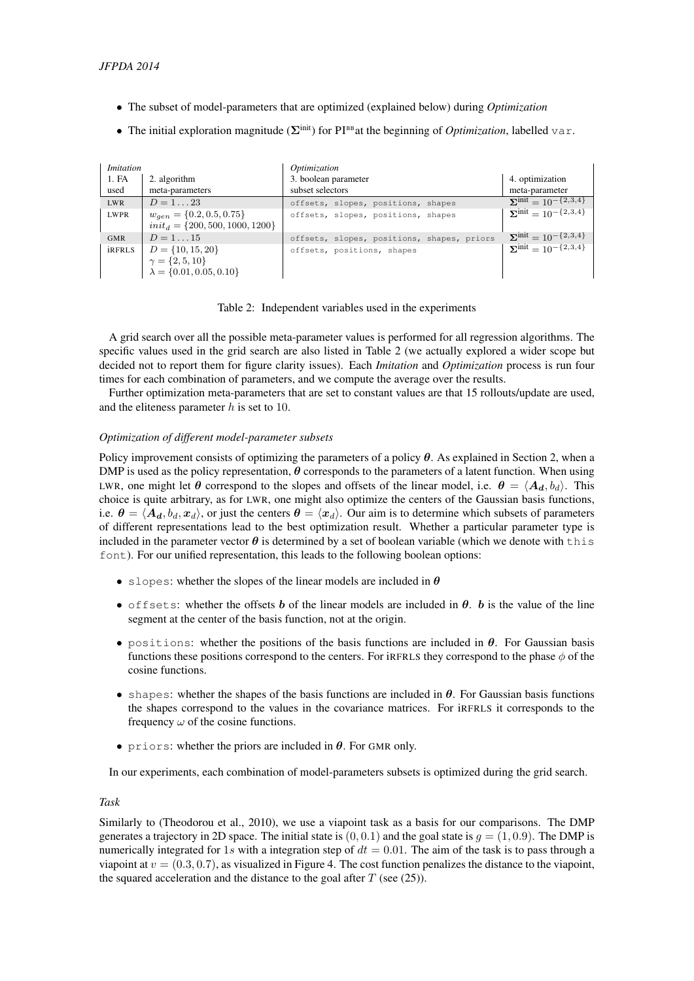- The subset of model-parameters that are optimized (explained below) during *Optimization*
- The initial exploration magnitude  $(\Sigma^{\text{init}})$  for PI<sup>BB</sup> at the beginning of *Optimization*, labelled var.

| <i>Imitation</i> |                                                                                     | Optimization                               |                                        |
|------------------|-------------------------------------------------------------------------------------|--------------------------------------------|----------------------------------------|
| 1. FA            | 2. algorithm                                                                        | 3. boolean parameter                       | 4. optimization                        |
| used             | meta-parameters                                                                     | subset selectors                           | meta-parameter                         |
| <b>LWR</b>       | $D = 1 \dots 23$                                                                    | offsets, slopes, positions, shapes         | $\sum^{\text{init}} = 10^{-\{2,3,4\}}$ |
| <b>LWPR</b>      | $w_{gen} = \{0.2, 0.5, 0.75\}$<br>$init_d = \{200, 500, 1000, 1200\}$               | offsets, slopes, positions, shapes         | $\sum$ mit = 10 <sup>-{2,3,4}</sup>    |
| <b>GMR</b>       | $D = 115$                                                                           | offsets, slopes, positions, shapes, priors | $\sum^{\text{init}} = 10^{-\{2,3,4\}}$ |
| <i>iRFRLS</i>    | $D = \{10, 15, 20\}$<br>$\gamma = \{2, 5, 10\}$<br>$\lambda = \{0.01, 0.05, 0.10\}$ | offsets, positions, shapes                 | $\sum$ init = 10 <sup>-{2,3,4}</sup>   |

Table 2: Independent variables used in the experiments

A grid search over all the possible meta-parameter values is performed for all regression algorithms. The specific values used in the grid search are also listed in Table 2 (we actually explored a wider scope but decided not to report them for figure clarity issues). Each *Imitation* and *Optimization* process is run four times for each combination of parameters, and we compute the average over the results.

Further optimization meta-parameters that are set to constant values are that 15 rollouts/update are used, and the eliteness parameter  $h$  is set to 10.

#### *Optimization of different model-parameter subsets*

Policy improvement consists of optimizing the parameters of a policy  $\theta$ . As explained in Section 2, when a DMP is used as the policy representation,  $\theta$  corresponds to the parameters of a latent function. When using LWR, one might let  $\theta$  correspond to the slopes and offsets of the linear model, i.e.  $\theta = \langle A_d, b_d \rangle$ . This choice is quite arbitrary, as for LWR, one might also optimize the centers of the Gaussian basis functions, i.e.  $\theta = \langle A_d, b_d, x_d \rangle$ , or just the centers  $\theta = \langle x_d \rangle$ . Our aim is to determine which subsets of parameters of different representations lead to the best optimization result. Whether a particular parameter type is included in the parameter vector  $\theta$  is determined by a set of boolean variable (which we denote with this font). For our unified representation, this leads to the following boolean options:

- slopes: whether the slopes of the linear models are included in  $\theta$
- offsets: whether the offsets b of the linear models are included in  $\theta$ . b is the value of the line segment at the center of the basis function, not at the origin.
- positions: whether the positions of the basis functions are included in  $\theta$ . For Gaussian basis functions these positions correspond to the centers. For iRFRLS they correspond to the phase  $\phi$  of the cosine functions.
- shapes: whether the shapes of the basis functions are included in  $\theta$ . For Gaussian basis functions the shapes correspond to the values in the covariance matrices. For iRFRLS it corresponds to the frequency  $\omega$  of the cosine functions.
- priors: whether the priors are included in  $\theta$ . For GMR only.

In our experiments, each combination of model-parameters subsets is optimized during the grid search.

#### *Task*

Similarly to (Theodorou et al., 2010), we use a viapoint task as a basis for our comparisons. The DMP generates a trajectory in 2D space. The initial state is  $(0, 0.1)$  and the goal state is  $q = (1, 0.9)$ . The DMP is numerically integrated for 1s with a integration step of  $dt = 0.01$ . The aim of the task is to pass through a viapoint at  $v = (0.3, 0.7)$ , as visualized in Figure 4. The cost function penalizes the distance to the viapoint, the squared acceleration and the distance to the goal after  $T$  (see (25)).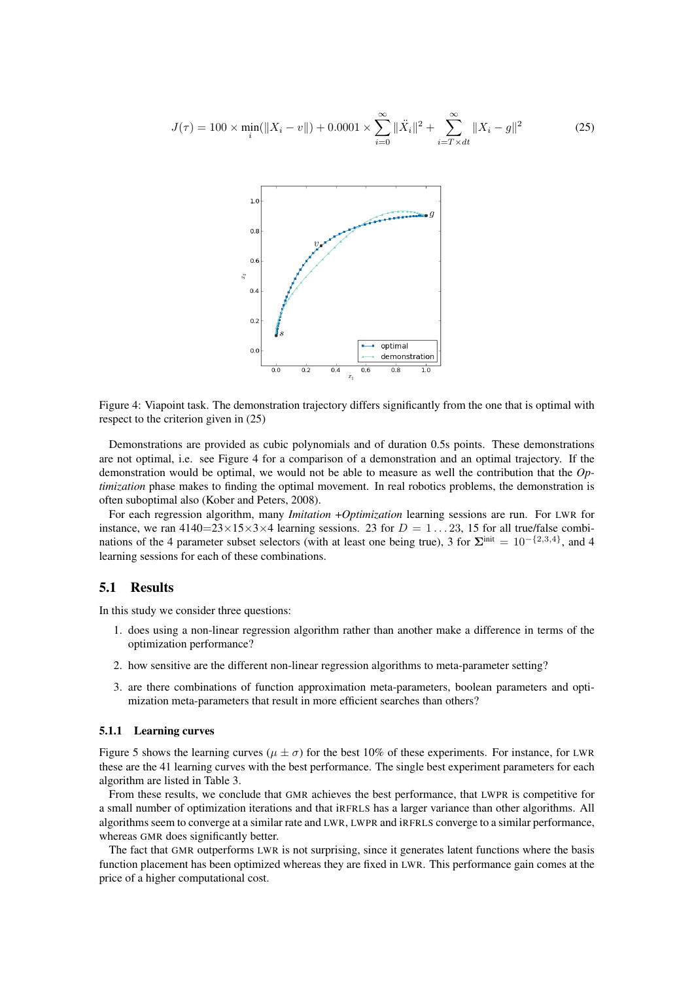$$
J(\tau) = 100 \times \min_{i} (\|X_i - v\|) + 0.0001 \times \sum_{i=0}^{\infty} \|\ddot{X}_i\|^2 + \sum_{i=T \times dt}^{\infty} \|X_i - g\|^2 \tag{25}
$$



Figure 4: Viapoint task. The demonstration trajectory differs significantly from the one that is optimal with respect to the criterion given in (25)

Demonstrations are provided as cubic polynomials and of duration 0.5s points. These demonstrations are not optimal, i.e. see Figure 4 for a comparison of a demonstration and an optimal trajectory. If the demonstration would be optimal, we would not be able to measure as well the contribution that the *Optimization* phase makes to finding the optimal movement. In real robotics problems, the demonstration is often suboptimal also (Kober and Peters, 2008).

For each regression algorithm, many *Imitation* +*Optimization* learning sessions are run. For LWR for instance, we ran  $4140=23\times15\times3\times4$  learning sessions. 23 for  $D=1...23$ , 15 for all true/false combinations of the 4 parameter subset selectors (with at least one being true), 3 for  $\Sigma^{\text{init}} = 10^{-\{2,3,4\}}$ , and 4 learning sessions for each of these combinations.

#### 5.1 Results

In this study we consider three questions:

- 1. does using a non-linear regression algorithm rather than another make a difference in terms of the optimization performance?
- 2. how sensitive are the different non-linear regression algorithms to meta-parameter setting?
- 3. are there combinations of function approximation meta-parameters, boolean parameters and optimization meta-parameters that result in more efficient searches than others?

#### 5.1.1 Learning curves

Figure 5 shows the learning curves ( $\mu \pm \sigma$ ) for the best 10% of these experiments. For instance, for LWR these are the 41 learning curves with the best performance. The single best experiment parameters for each algorithm are listed in Table 3.

From these results, we conclude that GMR achieves the best performance, that LWPR is competitive for a small number of optimization iterations and that iRFRLS has a larger variance than other algorithms. All algorithms seem to converge at a similar rate and LWR, LWPR and iRFRLS converge to a similar performance, whereas GMR does significantly better.

The fact that GMR outperforms LWR is not surprising, since it generates latent functions where the basis function placement has been optimized whereas they are fixed in LWR. This performance gain comes at the price of a higher computational cost.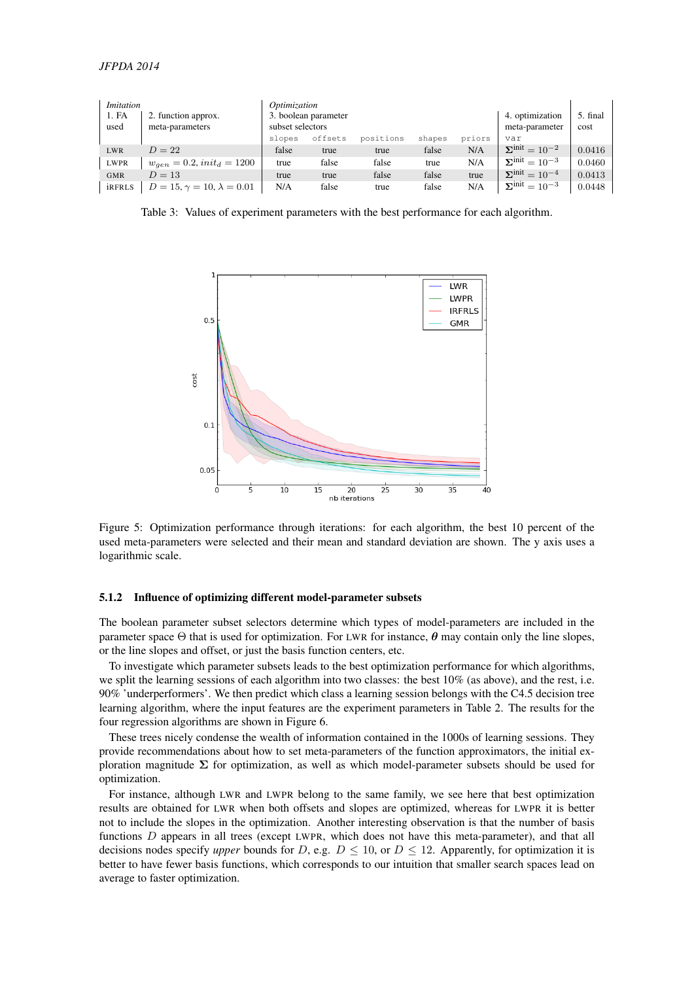| <i>Imitation</i><br>1. FA<br>used | 2. function approx.<br>meta-parameters | Optimization<br>3. boolean parameter<br>subset selectors |         |           |        | 4. optimization<br>meta-parameter | 5. final<br>cost                            |        |
|-----------------------------------|----------------------------------------|----------------------------------------------------------|---------|-----------|--------|-----------------------------------|---------------------------------------------|--------|
|                                   |                                        | slopes                                                   | offsets | positions | shapes | priors                            | var                                         |        |
| <b>LWR</b>                        | $D=22$                                 | false                                                    | true    | true      | false  | N/A                               | $\overline{\Sigma}^{\text{init}} = 10^{-2}$ | 0.0416 |
| <b>LWPR</b>                       | $w_{gen} = 0.2, init_d = 1200$         | true                                                     | false   | false     | true   | N/A                               | $\mathbf{\Sigma}^{\text{init}} = 10^{-3}$   | 0.0460 |
| <b>GMR</b>                        | $D = 13$                               | true                                                     | true    | false     | false  | true                              | $\Sigma^{\text{init}} = 10^{-4}$            | 0.0413 |
| <b>iRFRLS</b>                     | $D = 15, \gamma = 10, \lambda = 0.01$  | N/A                                                      | false   | true      | false  | N/A                               | $\overline{\Sigma}^{\text{init}} = 10^{-3}$ | 0.0448 |

Table 3: Values of experiment parameters with the best performance for each algorithm.



Figure 5: Optimization performance through iterations: for each algorithm, the best 10 percent of the used meta-parameters were selected and their mean and standard deviation are shown. The y axis uses a logarithmic scale.

#### 5.1.2 Influence of optimizing different model-parameter subsets

The boolean parameter subset selectors determine which types of model-parameters are included in the parameter space  $\Theta$  that is used for optimization. For LWR for instance,  $\theta$  may contain only the line slopes, or the line slopes and offset, or just the basis function centers, etc.

To investigate which parameter subsets leads to the best optimization performance for which algorithms, we split the learning sessions of each algorithm into two classes: the best 10% (as above), and the rest, i.e. 90% 'underperformers'. We then predict which class a learning session belongs with the C4.5 decision tree learning algorithm, where the input features are the experiment parameters in Table 2. The results for the four regression algorithms are shown in Figure 6.

These trees nicely condense the wealth of information contained in the 1000s of learning sessions. They provide recommendations about how to set meta-parameters of the function approximators, the initial exploration magnitude  $\Sigma$  for optimization, as well as which model-parameter subsets should be used for optimization.

For instance, although LWR and LWPR belong to the same family, we see here that best optimization results are obtained for LWR when both offsets and slopes are optimized, whereas for LWPR it is better not to include the slopes in the optimization. Another interesting observation is that the number of basis functions D appears in all trees (except LWPR, which does not have this meta-parameter), and that all decisions nodes specify *upper* bounds for D, e.g.  $D \le 10$ , or  $D \le 12$ . Apparently, for optimization it is better to have fewer basis functions, which corresponds to our intuition that smaller search spaces lead on average to faster optimization.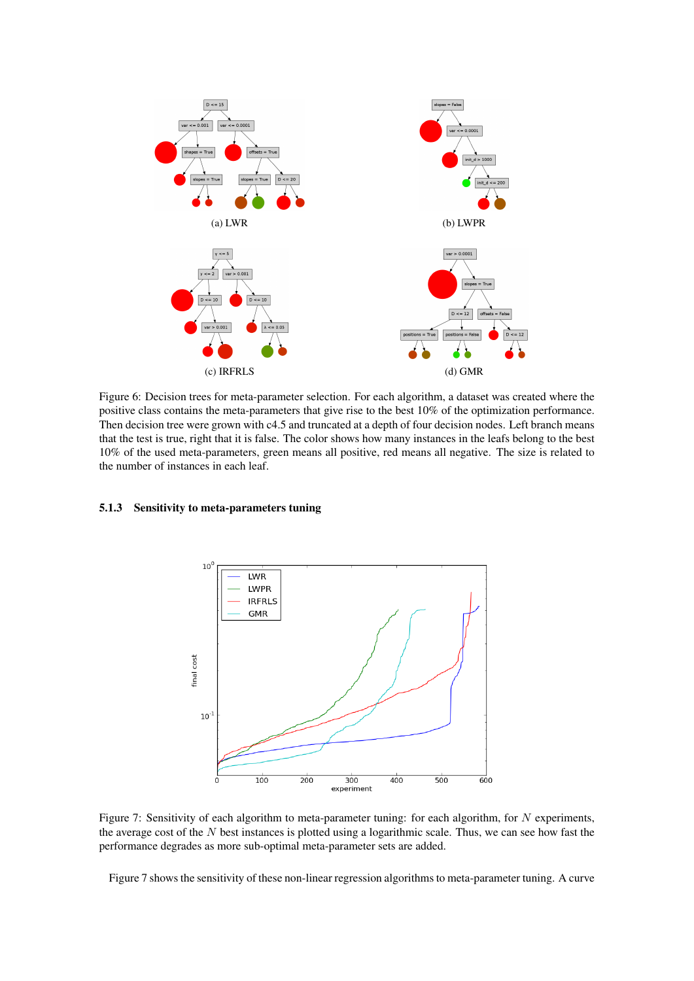

Figure 6: Decision trees for meta-parameter selection. For each algorithm, a dataset was created where the positive class contains the meta-parameters that give rise to the best 10% of the optimization performance. Then decision tree were grown with c4.5 and truncated at a depth of four decision nodes. Left branch means that the test is true, right that it is false. The color shows how many instances in the leafs belong to the best 10% of the used meta-parameters, green means all positive, red means all negative. The size is related to the number of instances in each leaf.

### 5.1.3 Sensitivity to meta-parameters tuning



Figure 7: Sensitivity of each algorithm to meta-parameter tuning: for each algorithm, for N experiments, the average cost of the  $N$  best instances is plotted using a logarithmic scale. Thus, we can see how fast the performance degrades as more sub-optimal meta-parameter sets are added.

Figure 7 shows the sensitivity of these non-linear regression algorithms to meta-parameter tuning. A curve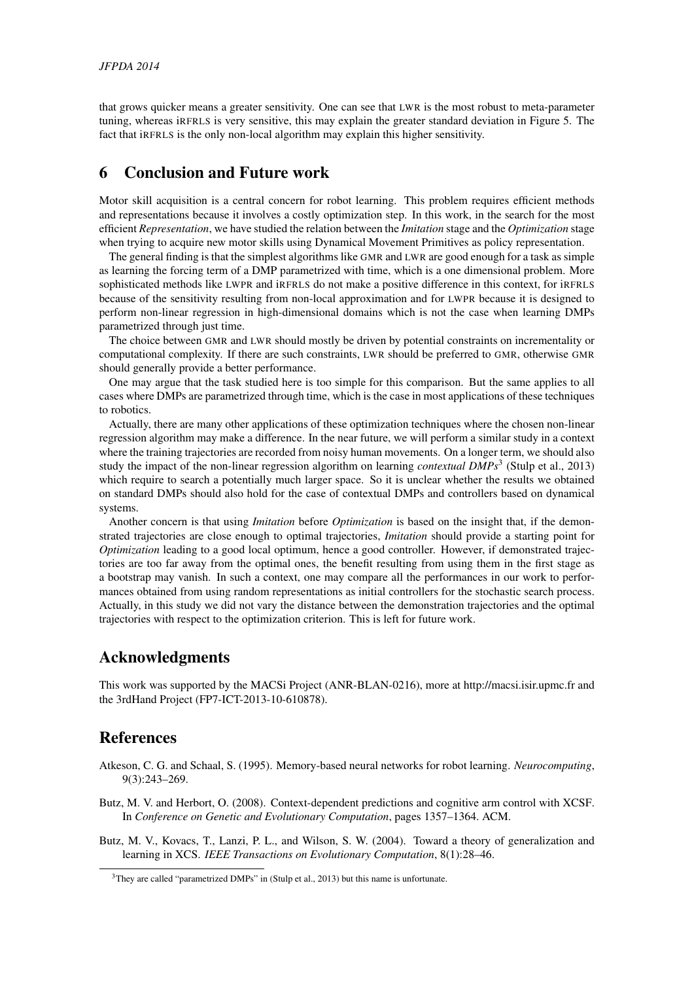that grows quicker means a greater sensitivity. One can see that LWR is the most robust to meta-parameter tuning, whereas iRFRLS is very sensitive, this may explain the greater standard deviation in Figure 5. The fact that iRFRLS is the only non-local algorithm may explain this higher sensitivity.

## 6 Conclusion and Future work

Motor skill acquisition is a central concern for robot learning. This problem requires efficient methods and representations because it involves a costly optimization step. In this work, in the search for the most efficient *Representation*, we have studied the relation between the *Imitation* stage and the *Optimization* stage when trying to acquire new motor skills using Dynamical Movement Primitives as policy representation.

The general finding is that the simplest algorithms like GMR and LWR are good enough for a task as simple as learning the forcing term of a DMP parametrized with time, which is a one dimensional problem. More sophisticated methods like LWPR and iRFRLS do not make a positive difference in this context, for iRFRLS because of the sensitivity resulting from non-local approximation and for LWPR because it is designed to perform non-linear regression in high-dimensional domains which is not the case when learning DMPs parametrized through just time.

The choice between GMR and LWR should mostly be driven by potential constraints on incrementality or computational complexity. If there are such constraints, LWR should be preferred to GMR, otherwise GMR should generally provide a better performance.

One may argue that the task studied here is too simple for this comparison. But the same applies to all cases where DMPs are parametrized through time, which is the case in most applications of these techniques to robotics.

Actually, there are many other applications of these optimization techniques where the chosen non-linear regression algorithm may make a difference. In the near future, we will perform a similar study in a context where the training trajectories are recorded from noisy human movements. On a longer term, we should also study the impact of the non-linear regression algorithm on learning *contextual DMPs*<sup>3</sup> (Stulp et al., 2013) which require to search a potentially much larger space. So it is unclear whether the results we obtained on standard DMPs should also hold for the case of contextual DMPs and controllers based on dynamical systems.

Another concern is that using *Imitation* before *Optimization* is based on the insight that, if the demonstrated trajectories are close enough to optimal trajectories, *Imitation* should provide a starting point for *Optimization* leading to a good local optimum, hence a good controller. However, if demonstrated trajectories are too far away from the optimal ones, the benefit resulting from using them in the first stage as a bootstrap may vanish. In such a context, one may compare all the performances in our work to performances obtained from using random representations as initial controllers for the stochastic search process. Actually, in this study we did not vary the distance between the demonstration trajectories and the optimal trajectories with respect to the optimization criterion. This is left for future work.

## Acknowledgments

This work was supported by the MACSi Project (ANR-BLAN-0216), more at http://macsi.isir.upmc.fr and the 3rdHand Project (FP7-ICT-2013-10-610878).

### References

- Atkeson, C. G. and Schaal, S. (1995). Memory-based neural networks for robot learning. *Neurocomputing*, 9(3):243–269.
- Butz, M. V. and Herbort, O. (2008). Context-dependent predictions and cognitive arm control with XCSF. In *Conference on Genetic and Evolutionary Computation*, pages 1357–1364. ACM.
- Butz, M. V., Kovacs, T., Lanzi, P. L., and Wilson, S. W. (2004). Toward a theory of generalization and learning in XCS. *IEEE Transactions on Evolutionary Computation*, 8(1):28–46.

<sup>&</sup>lt;sup>3</sup>They are called "parametrized DMPs" in (Stulp et al., 2013) but this name is unfortunate.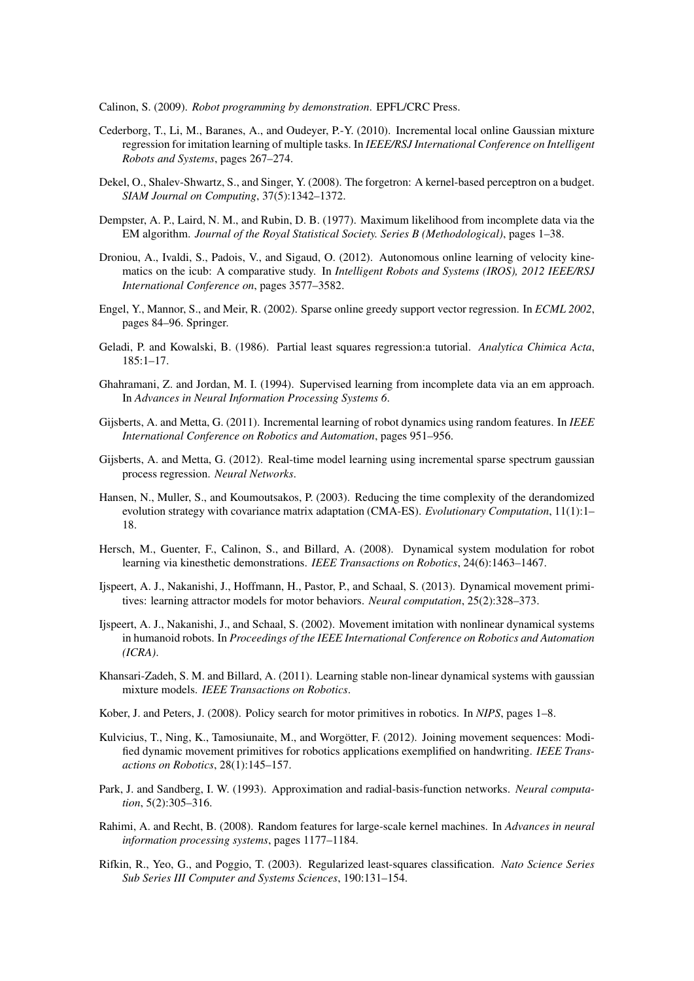Calinon, S. (2009). *Robot programming by demonstration*. EPFL/CRC Press.

- Cederborg, T., Li, M., Baranes, A., and Oudeyer, P.-Y. (2010). Incremental local online Gaussian mixture regression for imitation learning of multiple tasks. In *IEEE/RSJ International Conference on Intelligent Robots and Systems*, pages 267–274.
- Dekel, O., Shalev-Shwartz, S., and Singer, Y. (2008). The forgetron: A kernel-based perceptron on a budget. *SIAM Journal on Computing*, 37(5):1342–1372.
- Dempster, A. P., Laird, N. M., and Rubin, D. B. (1977). Maximum likelihood from incomplete data via the EM algorithm. *Journal of the Royal Statistical Society. Series B (Methodological)*, pages 1–38.
- Droniou, A., Ivaldi, S., Padois, V., and Sigaud, O. (2012). Autonomous online learning of velocity kinematics on the icub: A comparative study. In *Intelligent Robots and Systems (IROS), 2012 IEEE/RSJ International Conference on*, pages 3577–3582.
- Engel, Y., Mannor, S., and Meir, R. (2002). Sparse online greedy support vector regression. In *ECML 2002*, pages 84–96. Springer.
- Geladi, P. and Kowalski, B. (1986). Partial least squares regression:a tutorial. *Analytica Chimica Acta*, 185:1–17.
- Ghahramani, Z. and Jordan, M. I. (1994). Supervised learning from incomplete data via an em approach. In *Advances in Neural Information Processing Systems 6*.
- Gijsberts, A. and Metta, G. (2011). Incremental learning of robot dynamics using random features. In *IEEE International Conference on Robotics and Automation*, pages 951–956.
- Gijsberts, A. and Metta, G. (2012). Real-time model learning using incremental sparse spectrum gaussian process regression. *Neural Networks*.
- Hansen, N., Muller, S., and Koumoutsakos, P. (2003). Reducing the time complexity of the derandomized evolution strategy with covariance matrix adaptation (CMA-ES). *Evolutionary Computation*, 11(1):1– 18.
- Hersch, M., Guenter, F., Calinon, S., and Billard, A. (2008). Dynamical system modulation for robot learning via kinesthetic demonstrations. *IEEE Transactions on Robotics*, 24(6):1463–1467.
- Ijspeert, A. J., Nakanishi, J., Hoffmann, H., Pastor, P., and Schaal, S. (2013). Dynamical movement primitives: learning attractor models for motor behaviors. *Neural computation*, 25(2):328–373.
- Ijspeert, A. J., Nakanishi, J., and Schaal, S. (2002). Movement imitation with nonlinear dynamical systems in humanoid robots. In *Proceedings of the IEEE International Conference on Robotics and Automation (ICRA)*.
- Khansari-Zadeh, S. M. and Billard, A. (2011). Learning stable non-linear dynamical systems with gaussian mixture models. *IEEE Transactions on Robotics*.
- Kober, J. and Peters, J. (2008). Policy search for motor primitives in robotics. In *NIPS*, pages 1–8.
- Kulvicius, T., Ning, K., Tamosiunaite, M., and Worgötter, F. (2012). Joining movement sequences: Modified dynamic movement primitives for robotics applications exemplified on handwriting. *IEEE Transactions on Robotics*, 28(1):145–157.
- Park, J. and Sandberg, I. W. (1993). Approximation and radial-basis-function networks. *Neural computation*, 5(2):305–316.
- Rahimi, A. and Recht, B. (2008). Random features for large-scale kernel machines. In *Advances in neural information processing systems*, pages 1177–1184.
- Rifkin, R., Yeo, G., and Poggio, T. (2003). Regularized least-squares classification. *Nato Science Series Sub Series III Computer and Systems Sciences*, 190:131–154.